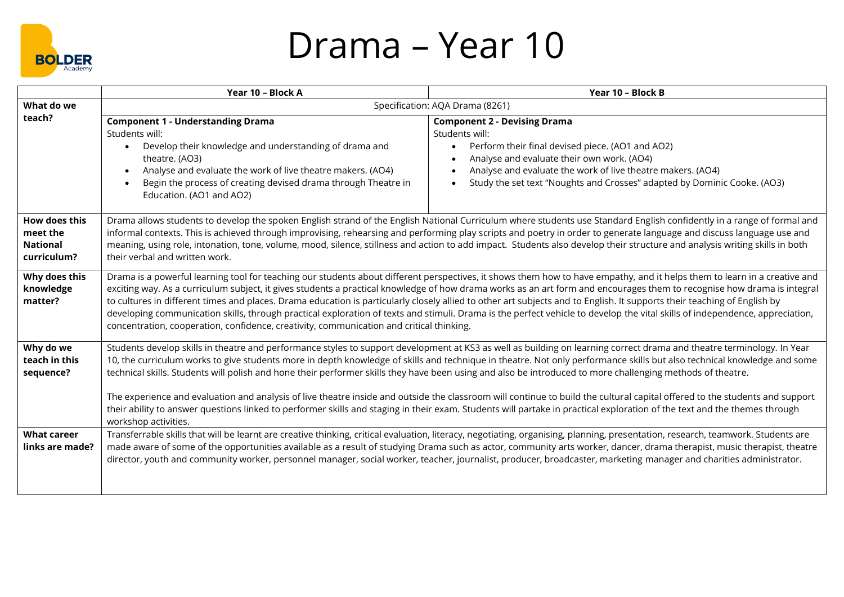

## Drama – Year 10

|                                                                    | Year 10 - Block A                                                                                                                                                                                                                                                                                                                                                                                                                                                                                                                                                                                                                                                                                                                                                                                                                                                                                   | Year 10 - Block B                                                                                                                                                                                                                                                                                                                                                                                                                                                                                                                 |
|--------------------------------------------------------------------|-----------------------------------------------------------------------------------------------------------------------------------------------------------------------------------------------------------------------------------------------------------------------------------------------------------------------------------------------------------------------------------------------------------------------------------------------------------------------------------------------------------------------------------------------------------------------------------------------------------------------------------------------------------------------------------------------------------------------------------------------------------------------------------------------------------------------------------------------------------------------------------------------------|-----------------------------------------------------------------------------------------------------------------------------------------------------------------------------------------------------------------------------------------------------------------------------------------------------------------------------------------------------------------------------------------------------------------------------------------------------------------------------------------------------------------------------------|
| What do we                                                         | Specification: AQA Drama (8261)                                                                                                                                                                                                                                                                                                                                                                                                                                                                                                                                                                                                                                                                                                                                                                                                                                                                     |                                                                                                                                                                                                                                                                                                                                                                                                                                                                                                                                   |
| teach?                                                             | <b>Component 1 - Understanding Drama</b><br>Students will:<br>Develop their knowledge and understanding of drama and<br>$\bullet$<br>theatre. (AO3)<br>Analyse and evaluate the work of live theatre makers. (AO4)<br>Begin the process of creating devised drama through Theatre in<br>Education. (AO1 and AO2)                                                                                                                                                                                                                                                                                                                                                                                                                                                                                                                                                                                    | <b>Component 2 - Devising Drama</b><br>Students will:<br>Perform their final devised piece. (AO1 and AO2)<br>$\bullet$<br>Analyse and evaluate their own work. (AO4)<br>Analyse and evaluate the work of live theatre makers. (AO4)<br>Study the set text "Noughts and Crosses" adapted by Dominic Cooke. (AO3)                                                                                                                                                                                                                   |
| <b>How does this</b><br>meet the<br><b>National</b><br>curriculum? | Drama allows students to develop the spoken English strand of the English National Curriculum where students use Standard English confidently in a range of formal and<br>informal contexts. This is achieved through improvising, rehearsing and performing play scripts and poetry in order to generate language and discuss language use and<br>meaning, using role, intonation, tone, volume, mood, silence, stillness and action to add impact. Students also develop their structure and analysis writing skills in both<br>their verbal and written work.                                                                                                                                                                                                                                                                                                                                    |                                                                                                                                                                                                                                                                                                                                                                                                                                                                                                                                   |
| Why does this<br>knowledge<br>matter?                              | Drama is a powerful learning tool for teaching our students about different perspectives, it shows them how to have empathy, and it helps them to learn in a creative and<br>exciting way. As a curriculum subject, it gives students a practical knowledge of how drama works as an art form and encourages them to recognise how drama is integral<br>to cultures in different times and places. Drama education is particularly closely allied to other art subjects and to English. It supports their teaching of English by<br>developing communication skills, through practical exploration of texts and stimuli. Drama is the perfect vehicle to develop the vital skills of independence, appreciation,<br>concentration, cooperation, confidence, creativity, communication and critical thinking.                                                                                        |                                                                                                                                                                                                                                                                                                                                                                                                                                                                                                                                   |
| Why do we<br>teach in this<br>sequence?                            | Students develop skills in theatre and performance styles to support development at KS3 as well as building on learning correct drama and theatre terminology. In Year<br>10, the curriculum works to give students more in depth knowledge of skills and technique in theatre. Not only performance skills but also technical knowledge and some<br>technical skills. Students will polish and hone their performer skills they have been using and also be introduced to more challenging methods of theatre.<br>The experience and evaluation and analysis of live theatre inside and outside the classroom will continue to build the cultural capital offered to the students and support<br>their ability to answer questions linked to performer skills and staging in their exam. Students will partake in practical exploration of the text and the themes through<br>workshop activities. |                                                                                                                                                                                                                                                                                                                                                                                                                                                                                                                                   |
| <b>What career</b><br>links are made?                              |                                                                                                                                                                                                                                                                                                                                                                                                                                                                                                                                                                                                                                                                                                                                                                                                                                                                                                     | Transferrable skills that will be learnt are creative thinking, critical evaluation, literacy, negotiating, organising, planning, presentation, research, teamwork. Students are<br>made aware of some of the opportunities available as a result of studying Drama such as actor, community arts worker, dancer, drama therapist, music therapist, theatre<br>director, youth and community worker, personnel manager, social worker, teacher, journalist, producer, broadcaster, marketing manager and charities administrator. |